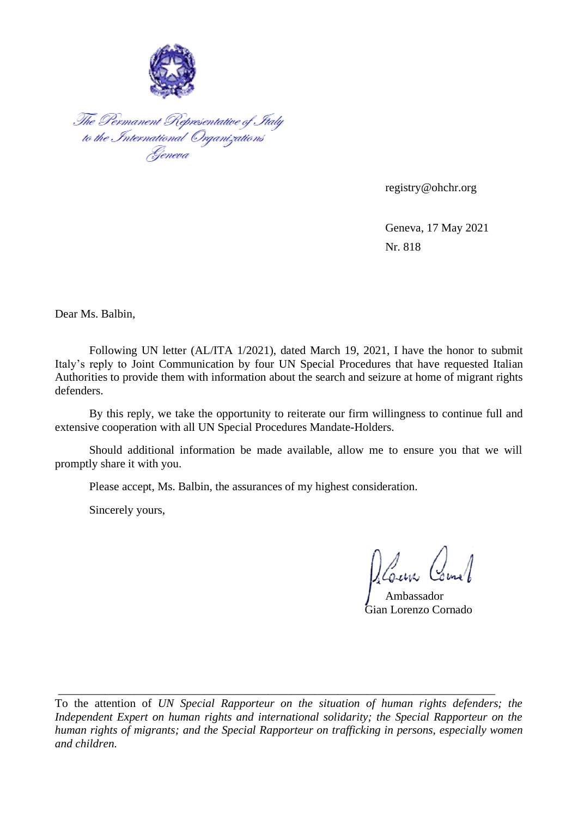

The Permanent Representative of Italy<br>to the International Organizations<br>Geneva

registry@ohchr.org

Geneva, 17 May 2021 Nr. 818

Dear Ms. Balbin,

Following UN letter (AL/ITA 1/2021), dated March 19, 2021, I have the honor to submit Italy's reply to Joint Communication by four UN Special Procedures that have requested Italian Authorities to provide them with information about the search and seizure at home of migrant rights defenders.

By this reply, we take the opportunity to reiterate our firm willingness to continue full and extensive cooperation with all UN Special Procedures Mandate-Holders.

Should additional information be made available, allow me to ensure you that we will promptly share it with you.

Please accept, Ms. Balbin, the assurances of my highest consideration.

Sincerely yours,

Deann Comel

Ambassador Gian Lorenzo Cornado

To the attention of *UN Special Rapporteur on the situation of human rights defenders; the Independent Expert on human rights and international solidarity; the Special Rapporteur on the human rights of migrants; and the Special Rapporteur on trafficking in persons, especially women and children.*

\_\_\_\_\_\_\_\_\_\_\_\_\_\_\_\_\_\_\_\_\_\_\_\_\_\_\_\_\_\_\_\_\_\_\_\_\_\_\_\_\_\_\_\_\_\_\_\_\_\_\_\_\_\_\_\_\_\_\_\_\_\_\_\_\_\_\_\_\_\_\_\_\_\_\_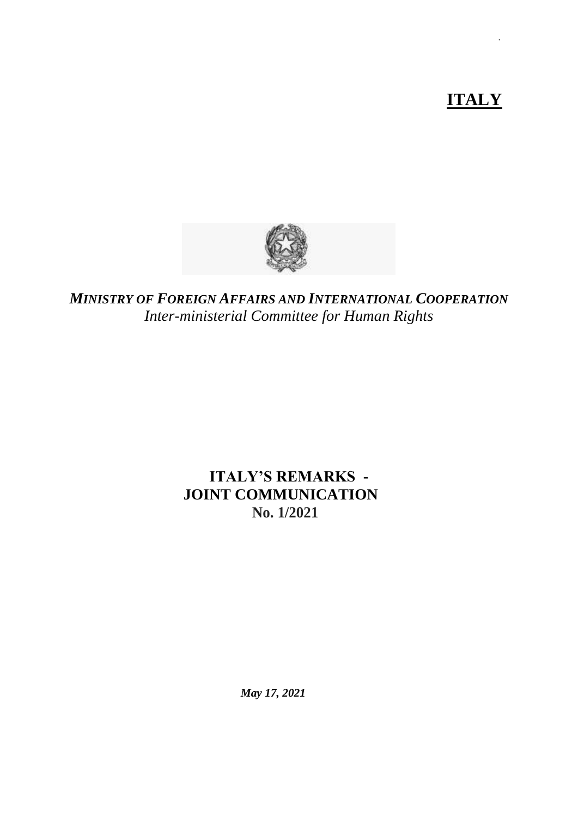# **ITALY**

**.**



*MINISTRY OF FOREIGN AFFAIRS AND INTERNATIONAL COOPERATION Inter-ministerial Committee for Human Rights*

### **ITALY'S REMARKS - JOINT COMMUNICATION No. 1/2021**

*May 17, 2021*